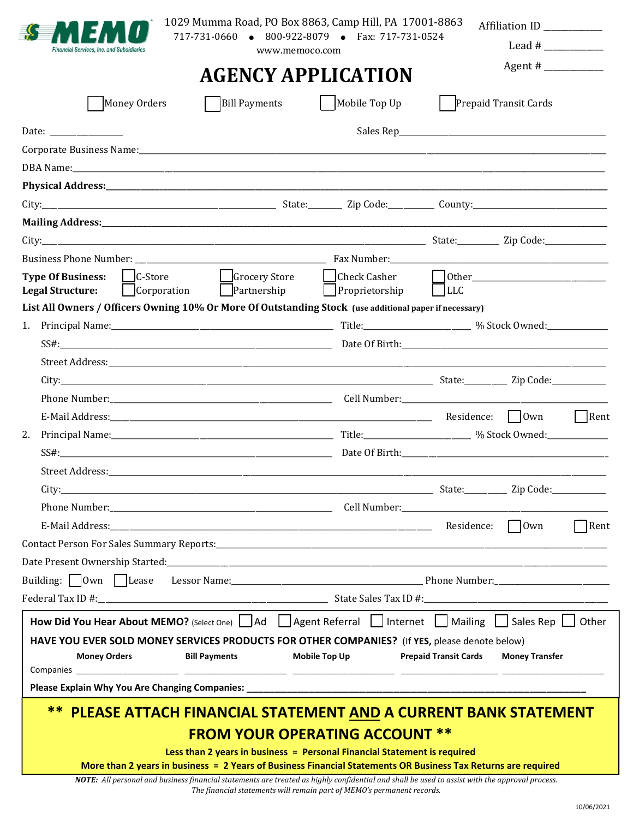| Money Orders<br>Physical Address: 2008 and 2008 and 2008 and 2008 and 2008 and 2008 and 2008 and 2008 and 2008 and 2008 and 20 | <b>Bill Payments</b> | <b>AGENCY APPLICATION</b><br>Mobile Top Up |                            | Prepaid Transit Cards |
|--------------------------------------------------------------------------------------------------------------------------------|----------------------|--------------------------------------------|----------------------------|-----------------------|
|                                                                                                                                |                      |                                            |                            |                       |
|                                                                                                                                |                      |                                            |                            |                       |
|                                                                                                                                |                      |                                            |                            |                       |
|                                                                                                                                |                      |                                            |                            |                       |
|                                                                                                                                |                      |                                            |                            |                       |
|                                                                                                                                |                      |                                            |                            |                       |
|                                                                                                                                |                      |                                            |                            |                       |
|                                                                                                                                |                      |                                            |                            |                       |
|                                                                                                                                |                      |                                            |                            |                       |
|                                                                                                                                |                      |                                            |                            |                       |
| $\Box$ C-Store<br><b>Type Of Business:</b>                                                                                     | Grocery Store        | Check Casher                               |                            |                       |
| Corporation<br><b>Legal Structure:</b>                                                                                         | $\Box$ Partnership   | Proprietorship LLC                         |                            |                       |
| List All Owners / Officers Owning 10% Or More Of Outstanding Stock (use additional paper if necessary)                         |                      |                                            |                            |                       |
| 1.                                                                                                                             |                      |                                            |                            |                       |
|                                                                                                                                |                      |                                            |                            |                       |
|                                                                                                                                |                      |                                            |                            |                       |
|                                                                                                                                |                      |                                            |                            |                       |
|                                                                                                                                |                      |                                            |                            |                       |
|                                                                                                                                |                      |                                            |                            | Rent                  |
| 2.                                                                                                                             |                      |                                            |                            |                       |
|                                                                                                                                |                      |                                            |                            |                       |
|                                                                                                                                |                      |                                            |                            |                       |
|                                                                                                                                |                      |                                            |                            |                       |
|                                                                                                                                |                      |                                            | E-Mail Address: $\Box$ Own |                       |
|                                                                                                                                |                      |                                            |                            |                       |
|                                                                                                                                |                      |                                            |                            | $\Box$ Rent           |
|                                                                                                                                |                      |                                            |                            |                       |
|                                                                                                                                |                      |                                            |                            |                       |
|                                                                                                                                |                      |                                            |                            |                       |
|                                                                                                                                |                      |                                            |                            |                       |